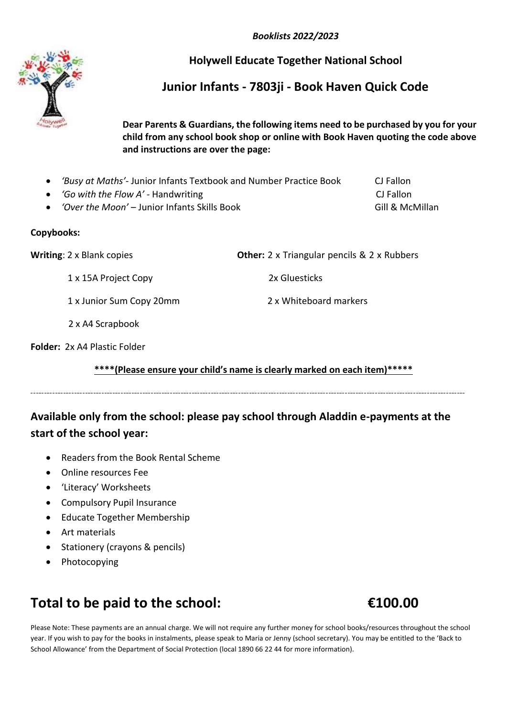*Booklists 2022/2023*

#### **Holywell Educate Together National School**

## **Junior Infants - 7803ji - Book Haven Quick Code**

**Dear Parents & Guardians, the following items need to be purchased by you for your child from any school book shop or online with Book Haven quoting the code above and instructions are over the page:**

- *'Busy at Maths'-* Junior Infants Textbook and Number Practice Book CJ Fallon
- *'Go with the Flow A'* Handwriting *CJ Fallon* CJ Fallon
- 'Over the Moon' Junior Infants Skills Book Gill & McMillan

#### **Copybooks:**

**Writing**: 2 x Blank copies **Other:** 2 x Triangular pencils & 2 x Rubbers

1 x 15A Project Copy 2x Gluesticks

1 x Junior Sum Copy 20mm 2 x Whiteboard markers

2 x A4 Scrapbook

**Folder:** 2x A4 Plastic Folder

**\*\*\*\*(Please ensure your child's name is clearly marked on each item)\*\*\*\*\***

## **Available only from the school: please pay school through Aladdin e-payments at the start of the school year:**

- Readers from the Book Rental Scheme
- Online resources Fee
- 'Literacy' Worksheets
- Compulsory Pupil Insurance
- Educate Together Membership
- Art materials
- Stationery (crayons & pencils)
- Photocopying

# **Total to be paid to the school: €100.00**

Please Note: These payments are an annual charge. We will not require any further money for school books/resources throughout the school year. If you wish to pay for the books in instalments, please speak to Maria or Jenny (school secretary). You may be entitled to the 'Back to School Allowance' from the Department of Social Protection (local 1890 66 22 44 for more information).